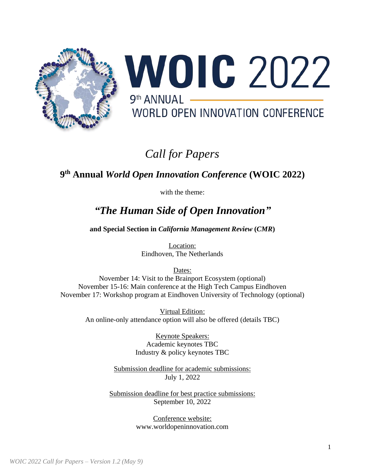

# **WOIC 2022**  $9<sup>th</sup> ANNIIAI$  \_\_\_ WORLD OPEN INNOVATION CONFERENCE

# *Call for Papers*

### **9 th Annual** *World Open Innovation Conference* **(WOIC 2022)**

with the theme:

## *"The Human Side of Open Innovation"*

**and Special Section in** *California Management Review* **(***CMR***)**

Location: Eindhoven, The Netherlands

Dates: November 14: Visit to the Brainport Ecosystem (optional) November 15-16: Main conference at the High Tech Campus Eindhoven November 17: Workshop program at Eindhoven University of Technology (optional)

> Virtual Edition: An online-only attendance option will also be offered (details TBC)

> > Keynote Speakers: Academic keynotes TBC Industry & policy keynotes TBC

Submission deadline for academic submissions: July 1, 2022

Submission deadline for best practice submissions: September 10, 2022

> Conference website: [www.worldopeninnovation.com](http://www.worldopeninnovation.com/)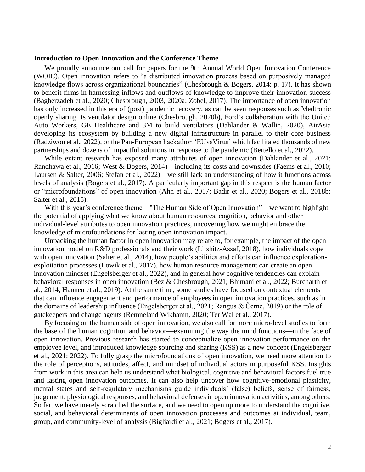#### **Introduction to Open Innovation and the Conference Theme**

We proudly announce our call for papers for the 9th Annual World Open Innovation Conference (WOIC). Open innovation refers to "a distributed innovation process based on purposively managed knowledge flows across organizational boundaries" (Chesbrough & Bogers, 2014: p. 17). It has shown to benefit firms in harnessing inflows and outflows of knowledge to improve their innovation success (Bagherzadeh et al., 2020; Chesbrough, 2003, 2020a; Zobel, 2017). The importance of open innovation has only increased in this era of (post) pandemic recovery, as can be seen responses such as Medtronic openly sharing its ventilator design online (Chesbrough, 2020b), Ford's collaboration with the United Auto Workers, GE Healthcare and 3M to build ventilators (Dahlander & Wallin, 2020), AirAsia developing its ecosystem by building a new digital infrastructure in parallel to their core business (Radziwon et al., 2022), or the Pan-European hackathon 'EUvsVirus' which facilitated thousands of new partnerships and dozens of impactful solutions in response to the pandemic (Bertello et al., 2022).

While extant research has exposed many attributes of open innovation (Dahlander et al., 2021; Randhawa et al., 2016; West & Bogers, 2014)—including its costs and downsides (Faems et al., 2010; Laursen & Salter, 2006; Stefan et al., 2022)—we still lack an understanding of how it functions across levels of analysis (Bogers et al., 2017). A particularly important gap in this respect is the human factor or "microfoundations" of open innovation (Ahn et al., 2017; Badir et al., 2020; Bogers et al., 2018b; Salter et al., 2015).

With this year's conference theme—"The Human Side of Open Innovation"—we want to highlight the potential of applying what we know about human resources, cognition, behavior and other individual-level attributes to open innovation practices, uncovering how we might embrace the knowledge of microfoundations for lasting open innovation impact.

Unpacking the human factor in open innovation may relate to, for example, the impact of the open innovation model on R&D professionals and their work (Lifshitz-Assaf, 2018), how individuals cope with open innovation (Salter et al., 2014), how people's abilities and efforts can influence explorationexploitation processes (Lowik et al., 2017), how human resource management can create an open innovation mindset (Engelsberger et al., 2022), and in general how cognitive tendencies can explain behavioral responses in open innovation (Bez & Chesbrough, 2021; Bhimani et al., 2022; Burcharth et al., 2014; Hannen et al., 2019). At the same time, some studies have focused on contextual elements that can influence engagement and performance of employees in open innovation practices, such as in the domains of leadership influence (Engelsberger et al., 2021; Rangus & Černe, 2019) or the role of gatekeepers and change agents (Remneland Wikhamn, 2020; Ter Wal et al., 2017).

By focusing on the human side of open innovation, we also call for more micro-level studies to form the base of the human cognition and behavior—examining the way the mind functions—in the face of open innovation. Previous research has started to conceptualize open innovation performance on the employee level, and introduced knowledge sourcing and sharing (KSS) as a new concept (Engelsberger et al., 2021; 2022). To fully grasp the microfoundations of open innovation, we need more attention to the role of perceptions, attitudes, affect, and mindset of individual actors in purposeful KSS. Insights from work in this area can help us understand what biological, cognitive and behavioral factors fuel true and lasting open innovation outcomes. It can also help uncover how cognitive-emotional plasticity, mental states and self-regulatory mechanisms guide individuals' (false) beliefs, sense of fairness, judgement, physiological responses, and behavioral defenses in open innovation activities, among others. So far, we have merely scratched the surface, and we need to open up more to understand the cognitive, social, and behavioral determinants of open innovation processes and outcomes at individual, team, group, and community-level of analysis (Bigliardi et al., 2021; Bogers et al., 2017).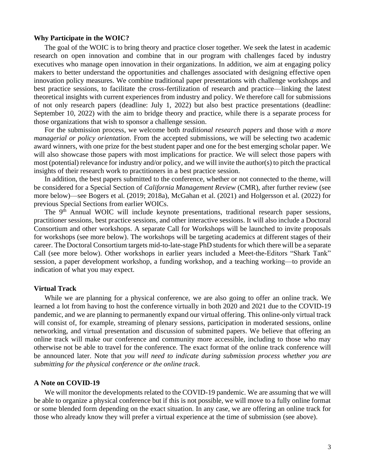#### **Why Participate in the WOIC?**

The goal of the WOIC is to bring theory and practice closer together. We seek the latest in academic research on open innovation and combine that in our program with challenges faced by industry executives who manage open innovation in their organizations. In addition, we aim at engaging policy makers to better understand the opportunities and challenges associated with designing effective open innovation policy measures. We combine traditional paper presentations with challenge workshops and best practice sessions, to facilitate the cross-fertilization of research and practice—linking the latest theoretical insights with current experiences from industry and policy. We therefore call for submissions of not only research papers (deadline: July 1, 2022) but also best practice presentations (deadline: September 10, 2022) with the aim to bridge theory and practice, while there is a separate process for those organizations that wish to sponsor a challenge session.

For the submission process, we welcome both *traditional research papers* and those with *a more managerial or policy orientation*. From the accepted submissions, we will be selecting two academic award winners, with one prize for the best student paper and one for the best emerging scholar paper. We will also showcase those papers with most implications for practice. We will select those papers with most (potential) relevance for industry and/or policy, and we will invite the author(s) to pitch the practical insights of their research work to practitioners in a best practice session.

In addition, the best papers submitted to the conference, whether or not connected to the theme, will be considered for a Special Section of *California Management Review* (CMR), after further review (see more below)—see Bogers et al. (2019; 2018a), McGahan et al. (2021) and Holgersson et al. (2022) for previous Special Sections from earlier WOICs.

The 9<sup>th</sup> Annual WOIC will include keynote presentations, traditional research paper sessions, practitioner sessions, best practice sessions, and other interactive sessions. It will also include a Doctoral Consortium and other workshops. A separate Call for Workshops will be launched to invite proposals for workshops (see more below). The workshops will be targeting academics at different stages of their career. The Doctoral Consortium targets mid-to-late-stage PhD students for which there will be a separate Call (see more below). Other workshops in earlier years included a Meet-the-Editors "Shark Tank" session, a paper development workshop, a funding workshop, and a teaching working—to provide an indication of what you may expect.

#### **Virtual Track**

While we are planning for a physical conference, we are also going to offer an online track. We learned a lot from having to host the conference virtually in both 2020 and 2021 due to the COVID-19 pandemic, and we are planning to permanently expand our virtual offering. This online-only virtual track will consist of, for example, streaming of plenary sessions, participation in moderated sessions, online networking, and virtual presentation and discussion of submitted papers. We believe that offering an online track will make our conference and community more accessible, including to those who may otherwise not be able to travel for the conference. The exact format of the online track conference will be announced later. Note that *you will need to indicate during submission process whether you are submitting for the physical conference or the online track*.

#### **A Note on COVID-19**

We will monitor the developments related to the COVID-19 pandemic. We are assuming that we will be able to organize a physical conference but if this is not possible, we will move to a fully online format or some blended form depending on the exact situation. In any case, we are offering an online track for those who already know they will prefer a virtual experience at the time of submission (see above).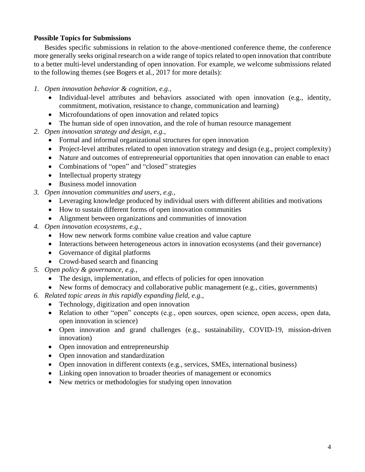#### **Possible Topics for Submissions**

Besides specific submissions in relation to the above-mentioned conference theme, the conference more generally seeks original research on a wide range of topics related to open innovation that contribute to a better multi-level understanding of open innovation. For example, we welcome submissions related to the following themes (see Bogers et al., 2017 for more details):

- *1. Open innovation behavior & cognition, e.g.,*
	- Individual-level attributes and behaviors associated with open innovation (e.g., identity, commitment, motivation, resistance to change, communication and learning)
	- Microfoundations of open innovation and related topics
	- The human side of open innovation, and the role of human resource management
- *2. Open innovation strategy and design, e.g.,*
	- Formal and informal organizational structures for open innovation
	- Project-level attributes related to open innovation strategy and design (e.g., project complexity)
	- Nature and outcomes of entrepreneurial opportunities that open innovation can enable to enact
	- Combinations of "open" and "closed" strategies
	- Intellectual property strategy
	- Business model innovation
- *3. Open innovation communities and users, e.g.,*
	- Leveraging knowledge produced by individual users with different abilities and motivations
	- How to sustain different forms of open innovation communities
	- Alignment between organizations and communities of innovation
- *4. Open innovation ecosystems, e.g.,*
	- How new network forms combine value creation and value capture
	- Interactions between heterogeneous actors in innovation ecosystems (and their governance)
	- Governance of digital platforms
	- Crowd-based search and financing
- *5. Open policy & governance, e.g.,*
	- The design, implementation, and effects of policies for open innovation
	- New forms of democracy and collaborative public management (e.g., cities, governments)
- *6. Related topic areas in this rapidly expanding field, e.g.,*
	- Technology, digitization and open innovation
	- Relation to other "open" concepts (e.g., open sources, open science, open access, open data, open innovation in science)
	- Open innovation and grand challenges (e.g., sustainability, COVID-19, mission-driven innovation)
	- Open innovation and entrepreneurship
	- Open innovation and standardization
	- Open innovation in different contexts (e.g., services, SMEs, international business)
	- Linking open innovation to broader theories of management or economics
	- New metrics or methodologies for studying open innovation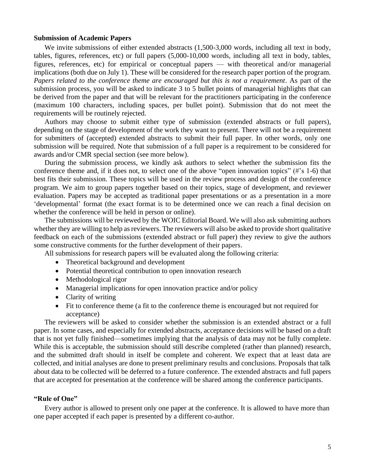#### **Submission of Academic Papers**

We invite submissions of either extended abstracts  $(1,500-3,000$  words, including all text in body, tables, figures, references, etc) or full papers (5,000-10,000 words, including all text in body, tables, figures, references, etc) for empirical or conceptual papers — with theoretical and/or managerial implications (both due on July 1). These will be considered for the research paper portion of the program. *Papers related to the conference theme are encouraged but this is not a requirement*. As part of the submission process, you will be asked to indicate 3 to 5 bullet points of managerial highlights that can be derived from the paper and that will be relevant for the practitioners participating in the conference (maximum 100 characters, including spaces, per bullet point). Submission that do not meet the requirements will be routinely rejected.

Authors may choose to submit either type of submission (extended abstracts or full papers), depending on the stage of development of the work they want to present. There will not be a requirement for submitters of (accepted) extended abstracts to submit their full paper. In other words, only one submission will be required. Note that submission of a full paper is a requirement to be considered for awards and/or CMR special section (see more below).

During the submission process, we kindly ask authors to select whether the submission fits the conference theme and, if it does not, to select one of the above "open innovation topics" (#'s 1-6) that best fits their submission. These topics will be used in the review process and design of the conference program. We aim to group papers together based on their topics, stage of development, and reviewer evaluation. Papers may be accepted as traditional paper presentations or as a presentation in a more 'developmental' format (the exact format is to be determined once we can reach a final decision on whether the conference will be held in person or online).

The submissions will be reviewed by the WOIC Editorial Board. We will also ask submitting authors whether they are willing to help as reviewers. The reviewers will also be asked to provide short qualitative feedback on each of the submissions (extended abstract or full paper) they review to give the authors some constructive comments for the further development of their papers.

All submissions for research papers will be evaluated along the following criteria:

- Theoretical background and development
- Potential theoretical contribution to open innovation research
- Methodological rigor
- Managerial implications for open innovation practice and/or policy
- Clarity of writing
- Fit to conference theme (a fit to the conference theme is encouraged but not required for acceptance)

The reviewers will be asked to consider whether the submission is an extended abstract or a full paper. In some cases, and especially for extended abstracts, acceptance decisions will be based on a draft that is not yet fully finished—sometimes implying that the analysis of data may not be fully complete. While this is acceptable, the submission should still describe completed (rather than planned) research, and the submitted draft should in itself be complete and coherent. We expect that at least data are collected, and initial analyses are done to present preliminary results and conclusions. Proposals that talk about data to be collected will be deferred to a future conference. The extended abstracts and full papers that are accepted for presentation at the conference will be shared among the conference participants.

#### **"Rule of One"**

Every author is allowed to present only one paper at the conference. It is allowed to have more than one paper accepted if each paper is presented by a different co-author.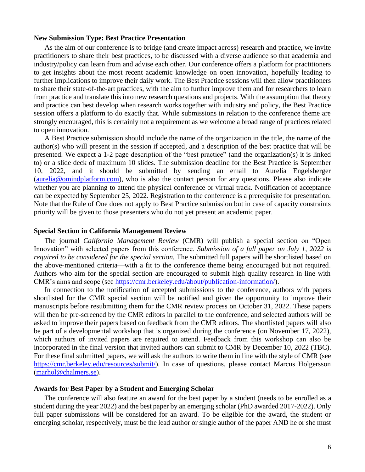#### **New Submission Type: Best Practice Presentation**

As the aim of our conference is to bridge (and create impact across) research and practice, we invite practitioners to share their best practices, to be discussed with a diverse audience so that academia and industry/policy can learn from and advise each other. Our conference offers a platform for practitioners to get insights about the most recent academic knowledge on open innovation, hopefully leading to further implications to improve their daily work. The Best Practice sessions will then allow practitioners to share their state-of-the-art practices, with the aim to further improve them and for researchers to learn from practice and translate this into new research questions and projects. With the assumption that theory and practice can best develop when research works together with industry and policy, the Best Practice session offers a platform to do exactly that. While submissions in relation to the conference theme are strongly encouraged, this is certainly not a requirement as we welcome a broad range of practices related to open innovation.

A Best Practice submission should include the name of the organization in the title, the name of the author(s) who will present in the session if accepted, and a description of the best practice that will be presented. We expect a 1-2 page description of the "best practice" (and the organization(s) it is linked to) or a slide deck of maximum 10 slides. The submission deadline for the Best Practice is September 10, 2022, and it should be submitted by sending an email to Aurelia Engelsberger [\(aurelia@omindplatform.com\)](mailto:aurelia@omindplatform.com), who is also the contact person for any questions. Please also indicate whether you are planning to attend the physical conference or virtual track. Notification of acceptance can be expected by September 25, 2022. Registration to the conference is a prerequisite for presentation. Note that the Rule of One does not apply to Best Practice submission but in case of capacity constraints priority will be given to those presenters who do not yet present an academic paper.

#### **Special Section in California Management Review**

The journal *California Management Review* (CMR) will publish a special section on "Open Innovation" with selected papers from this conference. *Submission of a full paper on July 1, 2022 is required to be considered for the special section.* The submitted full papers will be shortlisted based on the above-mentioned criteria—with a fit to the conference theme being encouraged but not required. Authors who aim for the special section are encouraged to submit high quality research in line with CMR's aims and scope (see [https://cmr.berkeley.edu/about/publication-information/\)](https://cmr.berkeley.edu/about/publication-information/).

In connection to the notification of accepted submissions to the conference, authors with papers shortlisted for the CMR special section will be notified and given the opportunity to improve their manuscripts before resubmitting them for the CMR review process on October 31, 2022. These papers will then be pre-screened by the CMR editors in parallel to the conference, and selected authors will be asked to improve their papers based on feedback from the CMR editors. The shortlisted papers will also be part of a developmental workshop that is organized during the conference (on November 17, 2022), which authors of invited papers are required to attend. Feedback from this workshop can also be incorporated in the final version that invited authors can submit to CMR by December 10, 2022 (TBC). For these final submitted papers, we will ask the authors to write them in line with the style of CMR (see [https://cmr.berkeley.edu/resources/submit/\)](https://cmr.berkeley.edu/resources/submit/). In case of questions, please contact Marcus Holgersson [\(marhol@chalmers.se\)](mailto:marhol@chalmers.se).

#### **Awards for Best Paper by a Student and Emerging Scholar**

The conference will also feature an award for the best paper by a student (needs to be enrolled as a student during the year 2022) and the best paper by an emerging scholar (PhD awarded 2017-2022). Only full paper submissions will be considered for an award. To be eligible for the award, the student or emerging scholar, respectively, must be the lead author or single author of the paper AND he or she must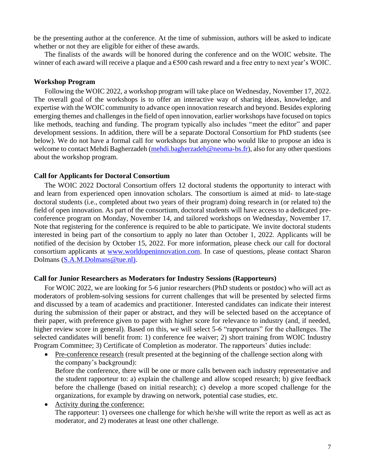be the presenting author at the conference. At the time of submission, authors will be asked to indicate whether or not they are eligible for either of these awards.

The finalists of the awards will be honored during the conference and on the WOIC website. The winner of each award will receive a plaque and a  $\epsilon$ 500 cash reward and a free entry to next year's WOIC.

#### **Workshop Program**

Following the WOIC 2022, a workshop program will take place on Wednesday, November 17, 2022. The overall goal of the workshops is to offer an interactive way of sharing ideas, knowledge, and expertise with the WOIC community to advance open innovation research and beyond. Besides exploring emerging themes and challenges in the field of open innovation, earlier workshops have focused on topics like methods, teaching and funding. The program typically also includes "meet the editor" and paper development sessions. In addition, there will be a separate Doctoral Consortium for PhD students (see below). We do not have a formal call for workshops but anyone who would like to propose an idea is welcome to contact Mehdi Bagherzadeh [\(mehdi.bagherzadeh@neoma-bs.fr\)](mailto:mehdi.bagherzadeh@neoma-bs.fr), also for any other questions about the workshop program.

#### **Call for Applicants for Doctoral Consortium**

The WOIC 2022 Doctoral Consortium offers 12 doctoral students the opportunity to interact with and learn from experienced open innovation scholars. The consortium is aimed at mid- to late-stage doctoral students (i.e., completed about two years of their program) doing research in (or related to) the field of open innovation. As part of the consortium, doctoral students will have access to a dedicated preconference program on Monday, November 14, and tailored workshops on Wednesday, November 17. Note that registering for the conference is required to be able to participate. We invite doctoral students interested in being part of the consortium to apply no later than October 1, 2022. Applicants will be notified of the decision by October 15, 2022. For more information, please check our call for doctoral consortium applicants at [www.worldopeninnovation.com.](http://www.worldopeninnovation.com/) In case of questions, please contact Sharon Dolmans [\(S.A.M.Dolmans@tue.nl\)](mailto:S.A.M.Dolmans@tue.nl).

#### **Call for Junior Researchers as Moderators for Industry Sessions (Rapporteurs)**

For WOIC 2022, we are looking for 5-6 junior researchers (PhD students or postdoc) who will act as moderators of problem-solving sessions for current challenges that will be presented by selected firms and discussed by a team of academics and practitioner. Interested candidates can indicate their interest during the submission of their paper or abstract, and they will be selected based on the acceptance of their paper, with preference given to paper with higher score for relevance to industry (and, if needed, higher review score in general). Based on this, we will select 5-6 "rapporteurs" for the challenges. The selected candidates will benefit from: 1) conference fee waiver; 2) short training from WOIC Industry Program Committee; 3) Certificate of Completion as moderator. The rapporteurs' duties include:

- Pre-conference research (result presented at the beginning of the challenge section along with the company's background): Before the conference, there will be one or more calls between each industry representative and the student rapporteur to: a) explain the challenge and allow scoped research; b) give feedback before the challenge (based on initial research); c) develop a more scoped challenge for the organizations, for example by drawing on network, potential case studies, etc.
- Activity during the conference: The rapporteur: 1) oversees one challenge for which he/she will write the report as well as act as moderator, and 2) moderates at least one other challenge.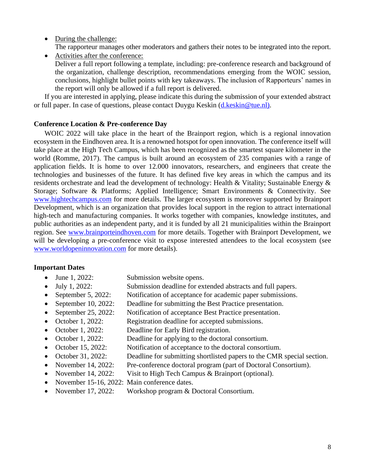- During the challenge:
	- The rapporteur manages other moderators and gathers their notes to be integrated into the report.
- Activities after the conference: Deliver a full report following a template, including: pre-conference research and background of the organization, challenge description, recommendations emerging from the WOIC session, conclusions, highlight bullet points with key takeaways. The inclusion of Rapporteurs' names in the report will only be allowed if a full report is delivered.

If you are interested in applying, please indicate this during the submission of your extended abstract or full paper. In case of questions, please contact Duygu Keskin [\(d.keskin@tue.nl\)](mailto:d.keskin@tue.nl).

#### **Conference Location & Pre-conference Day**

WOIC 2022 will take place in the heart of the Brainport region, which is a regional innovation ecosystem in the Eindhoven area. It is a renowned hotspot for open innovation. The conference itself will take place at the High Tech Campus, which has been recognized as the smartest square kilometer in the world (Romme, 2017). The campus is built around an ecosystem of 235 companies with a range of application fields. It is home to over 12.000 innovators, researchers, and engineers that create the technologies and businesses of the future. It has defined five key areas in which the campus and its residents orchestrate and lead the development of technology: Health & Vitality; Sustainable Energy & Storage; Software & Platforms; Applied Intelligence; Smart Environments & Connectivity. See [www.hightechcampus.com](http://www.hightechcampus.com/) for more details. The larger ecosystem is moreover supported by Brainport Development, which is an organization that provides local support in the region to attract international high-tech and manufacturing companies. It works together with companies, knowledge institutes, and public authorities as an independent party, and it is funded by all 21 municipalities within the Brainport region. See [www.brainporteindhoven.com](http://www.brainporteindhoven.com/) for more details. Together with Brainport Development, we will be developing a pre-conference visit to expose interested attendees to the local ecosystem (see [www.worldopeninnovation.com](http://www.worldopeninnovation.com/) for more details).

#### **Important Dates**

- June 1, 2022: Submission website opens.
- 
- July 1, 2022: Submission deadline for extended abstracts and full papers. • September 5, 2022: Notification of acceptance for academic paper submissions.
- 
- September 10, 2022: Deadline for submitting the Best Practice presentation.
- September 25, 2022: Notification of acceptance Best Practice presentation.
- October 1, 2022: Registration deadline for accepted submissions.
- October 1, 2022: Deadline for Early Bird registration.
- October 1, 2022: Deadline for applying to the doctoral consortium.
- October 15, 2022: Notification of acceptance to the doctoral consortium.
- October 31, 2022: Deadline for submitting shortlisted papers to the CMR special section.
- November 14, 2022: Pre-conference doctoral program (part of Doctoral Consortium).
- November 14, 2022: Visit to High Tech Campus & Brainport (optional).
- November 15-16, 2022: Main conference dates.
- November 17, 2022: Workshop program & Doctoral Consortium.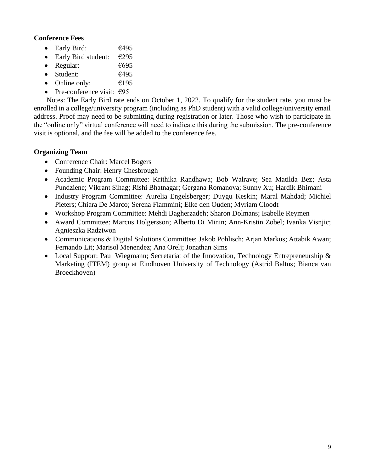#### **Conference Fees**

- Early Bird:  $\epsilon$ 495
- Early Bird student:  $\epsilon$ 295
- Regular:  $\epsilon$ 695
- Student:  $\epsilon$ 495
- Online only:  $\epsilon$ 195
- Pre-conference visit:  $\epsilon$ 95

Notes: The Early Bird rate ends on October 1, 2022. To qualify for the student rate, you must be enrolled in a college/university program (including as PhD student) with a valid college/university email address. Proof may need to be submitting during registration or later. Those who wish to participate in the "online only" virtual conference will need to indicate this during the submission. The pre-conference visit is optional, and the fee will be added to the conference fee.

#### **Organizing Team**

- Conference Chair: Marcel Bogers
- Founding Chair: Henry Chesbrough
- Academic Program Committee: Krithika Randhawa; Bob Walrave; Sea Matilda Bez; Asta Pundziene; Vikrant Sihag; Rishi Bhatnagar; Gergana Romanova; Sunny Xu; Hardik Bhimani
- Industry Program Committee: Aurelia Engelsberger; Duygu Keskin; Maral Mahdad; Michiel Pieters; Chiara De Marco; Serena Flammini; Elke den Ouden; Myriam Cloodt
- Workshop Program Committee: Mehdi Bagherzadeh; Sharon Dolmans; Isabelle Reymen
- Award Committee: Marcus Holgersson; Alberto Di Minin; Ann-Kristin Zobel; Ivanka Visnjic; Agnieszka Radziwon
- Communications & Digital Solutions Committee: Jakob Pohlisch; Arjan Markus; Attabik Awan; Fernando Lit; Marisol Menendez; Ana Orelj; Jonathan Sims
- Local Support: Paul Wiegmann; Secretariat of the Innovation, Technology Entrepreneurship & Marketing (ITEM) group at Eindhoven University of Technology (Astrid Baltus; Bianca van Broeckhoven)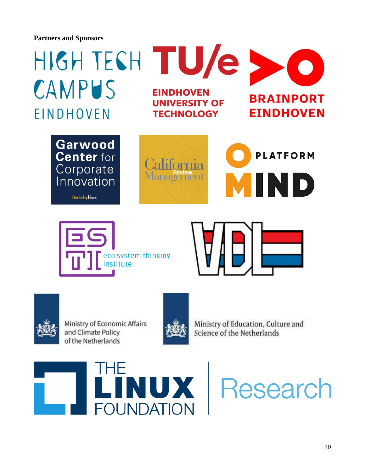**Partners and Sponsors**





Ministry of Economic Affairs and Climate Policy of the Netherlands



Ministry of Education, Culture and Science of the Netherlands



**JX** | Research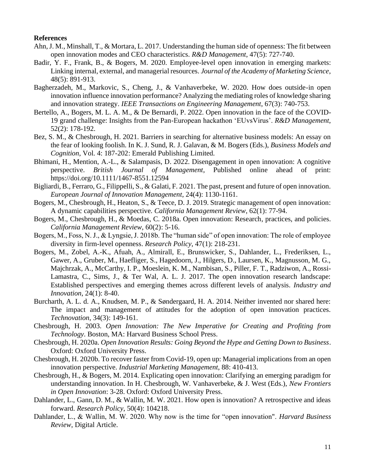#### **References**

- Ahn, J. M., Minshall, T., & Mortara, L. 2017. Understanding the human side of openness: The fit between open innovation modes and CEO characteristics. *R&D Management*, 47(5): 727-740.
- Badir, Y. F., Frank, B., & Bogers, M. 2020. Employee-level open innovation in emerging markets: Linking internal, external, and managerial resources. *Journal of the Academy of Marketing Science*, 48(5): 891-913.
- Bagherzadeh, M., Markovic, S., Cheng, J., & Vanhaverbeke, W. 2020. How does outside-in open innovation influence innovation performance? Analyzing the mediating roles of knowledge sharing and innovation strategy. *IEEE Transactions on Engineering Management*, 67(3): 740-753.
- Bertello, A., Bogers, M. L. A. M., & De Bernardi, P. 2022. Open innovation in the face of the COVID-19 grand challenge: Insights from the Pan-European hackathon 'EUvsVirus'. *R&D Management*, 52(2): 178-192.
- Bez, S. M., & Chesbrough, H. 2021. Barriers in searching for alternative business models: An essay on the fear of looking foolish. In K. J. Sund, R. J. Galavan, & M. Bogers (Eds.), *Business Models and Cognition*, Vol. 4: 187-202: Emerald Publishing Limited.
- Bhimani, H., Mention, A.-L., & Salampasis, D. 2022. Disengagement in open innovation: A cognitive perspective. *British Journal of Management*, Published online ahead of print: https://doi.org/10.1111/1467-8551.12594
- Bigliardi, B., Ferraro, G., Filippelli, S., & Galati, F. 2021. The past, present and future of open innovation. *European Journal of Innovation Management*, 24(4): 1130-1161.
- Bogers, M., Chesbrough, H., Heaton, S., & Teece, D. J. 2019. Strategic management of open innovation: A dynamic capabilities perspective. *California Management Review*, 62(1): 77-94.
- Bogers, M., Chesbrough, H., & Moedas, C. 2018a. Open innovation: Research, practices, and policies. *California Management Review*, 60(2): 5-16.
- Bogers, M., Foss, N. J., & Lyngsie, J. 2018b. The "human side" of open innovation: The role of employee diversity in firm-level openness. *Research Policy*, 47(1): 218-231.
- Bogers, M., Zobel, A.-K., Afuah, A., Almirall, E., Brunswicker, S., Dahlander, L., Frederiksen, L., Gawer, A., Gruber, M., Haefliger, S., Hagedoorn, J., Hilgers, D., Laursen, K., Magnusson, M. G., Majchrzak, A., McCarthy, I. P., Moeslein, K. M., Nambisan, S., Piller, F. T., Radziwon, A., Rossi-Lamastra, C., Sims, J., & Ter Wal, A. L. J. 2017. The open innovation research landscape: Established perspectives and emerging themes across different levels of analysis. *Industry and Innovation*, 24(1): 8-40.
- Burcharth, A. L. d. A., Knudsen, M. P., & Søndergaard, H. A. 2014. Neither invented nor shared here: The impact and management of attitudes for the adoption of open innovation practices. *Technovation*, 34(3): 149-161.
- Chesbrough, H. 2003. *Open Innovation: The New Imperative for Creating and Profiting from Technology*. Boston, MA: Harvard Business School Press.
- Chesbrough, H. 2020a. *Open Innovation Results: Going Beyond the Hype and Getting Down to Business*. Oxford: Oxford University Press.
- Chesbrough, H. 2020b. To recover faster from Covid-19, open up: Managerial implications from an open innovation perspective. *Industrial Marketing Management*, 88: 410-413.
- Chesbrough, H., & Bogers, M. 2014. Explicating open innovation: Clarifying an emerging paradigm for understanding innovation. In H. Chesbrough, W. Vanhaverbeke, & J. West (Eds.), *New Frontiers in Open Innovation*: 3-28. Oxford: Oxford University Press.
- Dahlander, L., Gann, D. M., & Wallin, M. W. 2021. How open is innovation? A retrospective and ideas forward. *Research Policy*, 50(4): 104218.
- Dahlander, L., & Wallin, M. W. 2020. Why now is the time for "open innovation". *Harvard Business Review*, Digital Article.